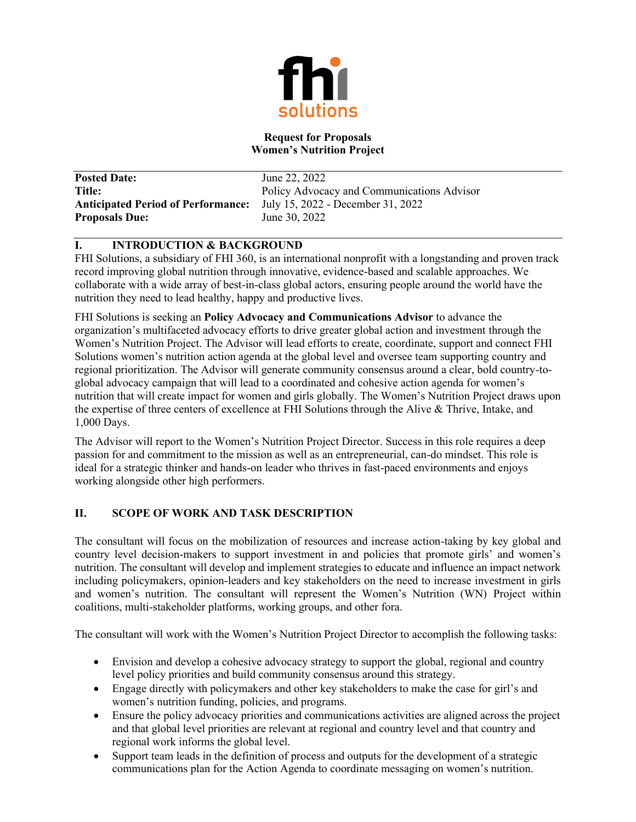

### **Request for Proposals Women's Nutrition Project**

**Posted Date:** June 22, 2022 **Anticipated Period of Performance:** July 15, 2022 - December 31, 2022 **Proposals Due:** June 30, 2022

**Title:** Policy Advocacy and Communications Advisor

# **I. INTRODUCTION & BACKGROUND**

FHI Solutions, a subsidiary of FHI 360, is an international nonprofit with a longstanding and proven track record improving global nutrition through innovative, evidence-based and scalable approaches. We collaborate with a wide array of best-in-class global actors, ensuring people around the world have the nutrition they need to lead healthy, happy and productive lives.

FHI Solutions is seeking an **Policy Advocacy and Communications Advisor** to advance the organization's multifaceted advocacy efforts to drive greater global action and investment through the Women's Nutrition Project. The Advisor will lead efforts to create, coordinate, support and connect FHI Solutions women's nutrition action agenda at the global level and oversee team supporting country and regional prioritization. The Advisor will generate community consensus around a clear, bold country-toglobal advocacy campaign that will lead to a coordinated and cohesive action agenda for women's nutrition that will create impact for women and girls globally. The Women's Nutrition Project draws upon the expertise of three centers of excellence at FHI Solutions through the Alive & Thrive, Intake, and 1,000 Days.

The Advisor will report to the Women's Nutrition Project Director. Success in this role requires a deep passion for and commitment to the mission as well as an entrepreneurial, can-do mindset. This role is ideal for a strategic thinker and hands-on leader who thrives in fast-paced environments and enjoys working alongside other high performers.

# **II. SCOPE OF WORK AND TASK DESCRIPTION**

The consultant will focus on the mobilization of resources and increase action-taking by key global and country level decision-makers to support investment in and policies that promote girls' and women's nutrition. The consultant will develop and implement strategies to educate and influence an impact network including policymakers, opinion-leaders and key stakeholders on the need to increase investment in girls and women's nutrition. The consultant will represent the Women's Nutrition (WN) Project within coalitions, multi-stakeholder platforms, working groups, and other fora.

The consultant will work with the Women's Nutrition Project Director to accomplish the following tasks:

- Envision and develop a cohesive advocacy strategy to support the global, regional and country level policy priorities and build community consensus around this strategy.
- Engage directly with policymakers and other key stakeholders to make the case for girl's and women's nutrition funding, policies, and programs.
- Ensure the policy advocacy priorities and communications activities are aligned across the project and that global level priorities are relevant at regional and country level and that country and regional work informs the global level.
- Support team leads in the definition of process and outputs for the development of a strategic communications plan for the Action Agenda to coordinate messaging on women's nutrition.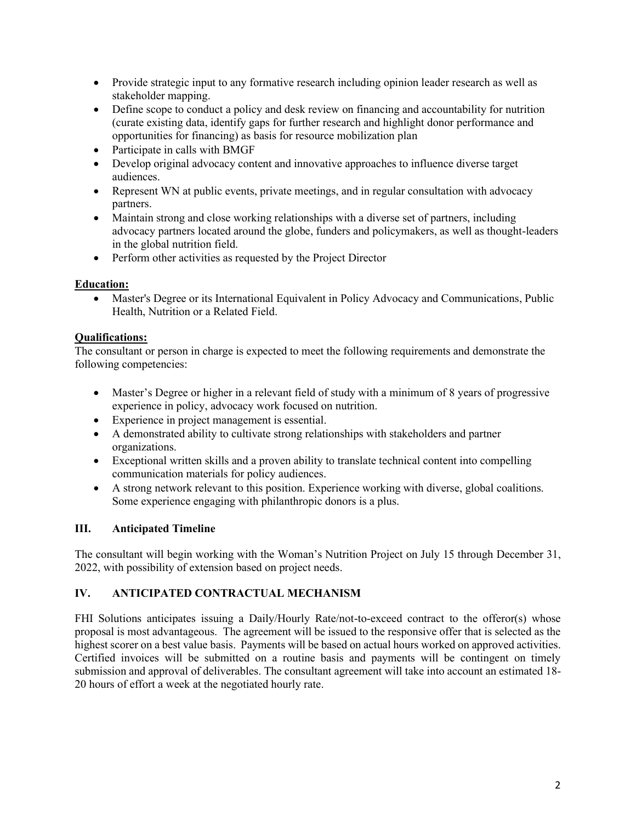- Provide strategic input to any formative research including opinion leader research as well as stakeholder mapping.
- Define scope to conduct a policy and desk review on financing and accountability for nutrition (curate existing data, identify gaps for further research and highlight donor performance and opportunities for financing) as basis for resource mobilization plan
- Participate in calls with BMGF
- Develop original advocacy content and innovative approaches to influence diverse target audiences.
- Represent WN at public events, private meetings, and in regular consultation with advocacy partners.
- Maintain strong and close working relationships with a diverse set of partners, including advocacy partners located around the globe, funders and policymakers, as well as thought-leaders in the global nutrition field.
- Perform other activities as requested by the Project Director

## **Education:**

• Master's Degree or its International Equivalent in Policy Advocacy and Communications, Public Health, Nutrition or a Related Field.

## **Qualifications:**

The consultant or person in charge is expected to meet the following requirements and demonstrate the following competencies:

- Master's Degree or higher in a relevant field of study with a minimum of 8 years of progressive experience in policy, advocacy work focused on nutrition.
- Experience in project management is essential.
- A demonstrated ability to cultivate strong relationships with stakeholders and partner organizations.
- Exceptional written skills and a proven ability to translate technical content into compelling communication materials for policy audiences.
- A strong network relevant to this position. Experience working with diverse, global coalitions. Some experience engaging with philanthropic donors is a plus.

# **III. Anticipated Timeline**

The consultant will begin working with the Woman's Nutrition Project on July 15 through December 31, 2022, with possibility of extension based on project needs.

# **IV. ANTICIPATED CONTRACTUAL MECHANISM**

FHI Solutions anticipates issuing a Daily/Hourly Rate/not-to-exceed contract to the offeror(s) whose proposal is most advantageous. The agreement will be issued to the responsive offer that is selected as the highest scorer on a best value basis. Payments will be based on actual hours worked on approved activities. Certified invoices will be submitted on a routine basis and payments will be contingent on timely submission and approval of deliverables. The consultant agreement will take into account an estimated 18- 20 hours of effort a week at the negotiated hourly rate.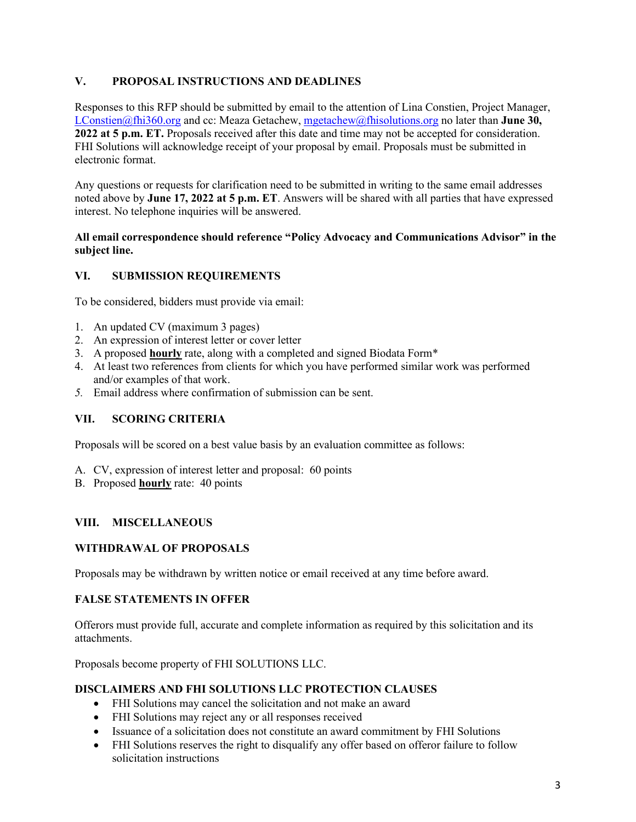## **V. PROPOSAL INSTRUCTIONS AND DEADLINES**

Responses to this RFP should be submitted by email to the attention of Lina Constien, Project Manager, [LConstien@fhi360.org](mailto:LConstien@fhi360.org) and cc: Meaza Getachew, [mgetachew@fhisolutions.org](mailto:mgetachew@fhisolutions.org) no later than **June 30, 2022 at 5 p.m. ET.** Proposals received after this date and time may not be accepted for consideration. FHI Solutions will acknowledge receipt of your proposal by email. Proposals must be submitted in electronic format.

Any questions or requests for clarification need to be submitted in writing to the same email addresses noted above by **June 17, 2022 at 5 p.m. ET**. Answers will be shared with all parties that have expressed interest. No telephone inquiries will be answered.

### **All email correspondence should reference "Policy Advocacy and Communications Advisor" in the subject line.**

## **VI. SUBMISSION REQUIREMENTS**

To be considered, bidders must provide via email:

- 1. An updated CV (maximum 3 pages)
- 2. An expression of interest letter or cover letter
- 3. A proposed **hourly** rate, along with a completed and signed Biodata Form\*
- 4. At least two references from clients for which you have performed similar work was performed and/or examples of that work.
- *5.* Email address where confirmation of submission can be sent.

#### **VII. SCORING CRITERIA**

Proposals will be scored on a best value basis by an evaluation committee as follows:

- A. CV, expression of interest letter and proposal: 60 points
- B. Proposed **hourly** rate: 40 points

## **VIII. MISCELLANEOUS**

#### **WITHDRAWAL OF PROPOSALS**

Proposals may be withdrawn by written notice or email received at any time before award.

## **FALSE STATEMENTS IN OFFER**

Offerors must provide full, accurate and complete information as required by this solicitation and its attachments.

Proposals become property of FHI SOLUTIONS LLC.

### **DISCLAIMERS AND FHI SOLUTIONS LLC PROTECTION CLAUSES**

- FHI Solutions may cancel the solicitation and not make an award
- FHI Solutions may reject any or all responses received
- Issuance of a solicitation does not constitute an award commitment by FHI Solutions
- FHI Solutions reserves the right to disqualify any offer based on offeror failure to follow solicitation instructions